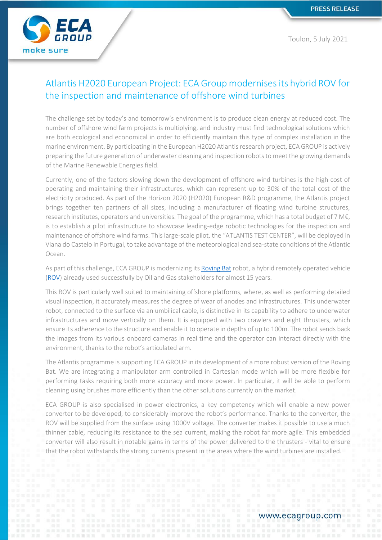ECA make sure

Toulon, 5 July 2021

# Atlantis H2020 European Project: ECA Group modernises its hybrid ROV for the inspection and maintenance of offshore wind turbines

The challenge set by today's and tomorrow's environment is to produce clean energy at reduced cost. The number of offshore wind farm projects is multiplying, and industry must find technological solutions which are both ecological and economical in order to efficiently maintain this type of complex installation in the marine environment. By participating in the European H2020 Atlantis research project, ECA GROUP is actively preparing the future generation of underwater cleaning and inspection robots to meet the growing demands of the Marine Renewable Energies field.

Currently, one of the factors slowing down the development of offshore wind turbines is the high cost of operating and maintaining their infrastructures, which can represent up to 30% of the total cost of the electricity produced. As part of the Horizon 2020 (H2020) European R&D programme, the Atlantis project brings together ten partners of all sizes, including a manufacturer of floating wind turbine structures, research institutes, operators and universities. The goal of the programme, which has a total budget of 7 M€, is to establish a pilot infrastructure to showcase leading-edge robotic technologies for the inspection and maintenance of offshore wind farms. This large-scale pilot, the "ATLANTIS TEST CENTER", will be deployed in Viana do Castelo in Portugal, to take advantage of the meteorological and sea-state conditions of the Atlantic Ocean.

As part of this challenge, ECA GROUP is modernizing it[s Roving Bat](https://www.ecagroup.com/en/solutions/rovingbat-hybrid-rov) robot, a hybrid remotely operated vehicle [\(ROV\)](https://www.ecagroup.com/en/find-your-eca-solutions/rov) already used successfully by Oil and Gas stakeholders for almost 15 years.

This ROV is particularly well suited to maintaining offshore platforms, where, as well as performing detailed visual inspection, it accurately measures the degree of wear of anodes and infrastructures. This underwater robot, connected to the surface via an umbilical cable, is distinctive in its capability to adhere to underwater infrastructures and move vertically on them. It is equipped with two crawlers and eight thrusters, which ensure its adherence to the structure and enable it to operate in depths of up to 100m. The robot sends back the images from its various onboard cameras in real time and the operator can interact directly with the environment, thanks to the robot's articulated arm.

The Atlantis programme is supporting ECA GROUP in its development of a more robust version of the Roving Bat. We are integrating a manipulator arm controlled in Cartesian mode which will be more flexible for performing tasks requiring both more accuracy and more power. In particular, it will be able to perform cleaning using brushes more efficiently than the other solutions currently on the market.

ECA GROUP is also specialised in power electronics, a key competency which will enable a new power converter to be developed, to considerably improve the robot's performance. Thanks to the converter, the ROV will be supplied from the surface using 1000V voltage. The converter makes it possible to use a much thinner cable, reducing its resistance to the sea current, making the robot far more agile. This embedded converter will also result in notable gains in terms of the power delivered to the thrusters - vital to ensure that the robot withstands the strong currents present in the areas where the wind turbines are installed.